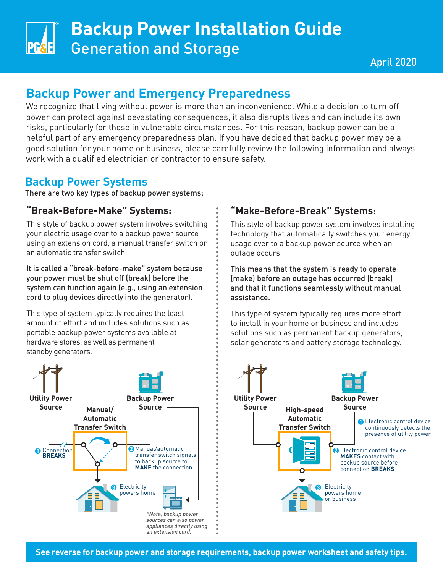# **Backup Power Installation Guide** Generation and Storage

# **Backup Power and Emergency Preparedness**

We recognize that living without power is more than an inconvenience. While a decision to turn off power can protect against devastating consequences, it also disrupts lives and can include its own risks, particularly for those in vulnerable circumstances. For this reason, backup power can be a helpful part of any emergency preparedness plan. If you have decided that backup power may be a good solution for your home or business, please carefully review the following information and always work with a qualified electrician or contractor to ensure safety.

## **Backup Power Systems**

There are two key types of backup power systems:

### **"Break-Before-Make" Systems:**

This style of backup power system involves switching your electric usage over to a backup power source using an extension cord, a manual transfer switch or an automatic transfer switch.

It is called a "break-before-make" system because your power must be shut off (break) before the system can function again (e.g., using an extension cord to plug devices directly into the generator).

This type of system typically requires the least amount of effort and includes solutions such as portable backup power systems available at hardware stores, as well as permanent standby generators.



## **"Make-Before-Break" Systems:**

This style of backup power system involves installing technology that automatically switches your energy usage over to a backup power source when an outage occurs.

This means that the system is ready to operate (make) before an outage has occurred (break) and that it functions seamlessly without manual assistance.

This type of system typically requires more effort to install in your home or business and includes solutions such as permanent backup generators, solar generators and battery storage technology.